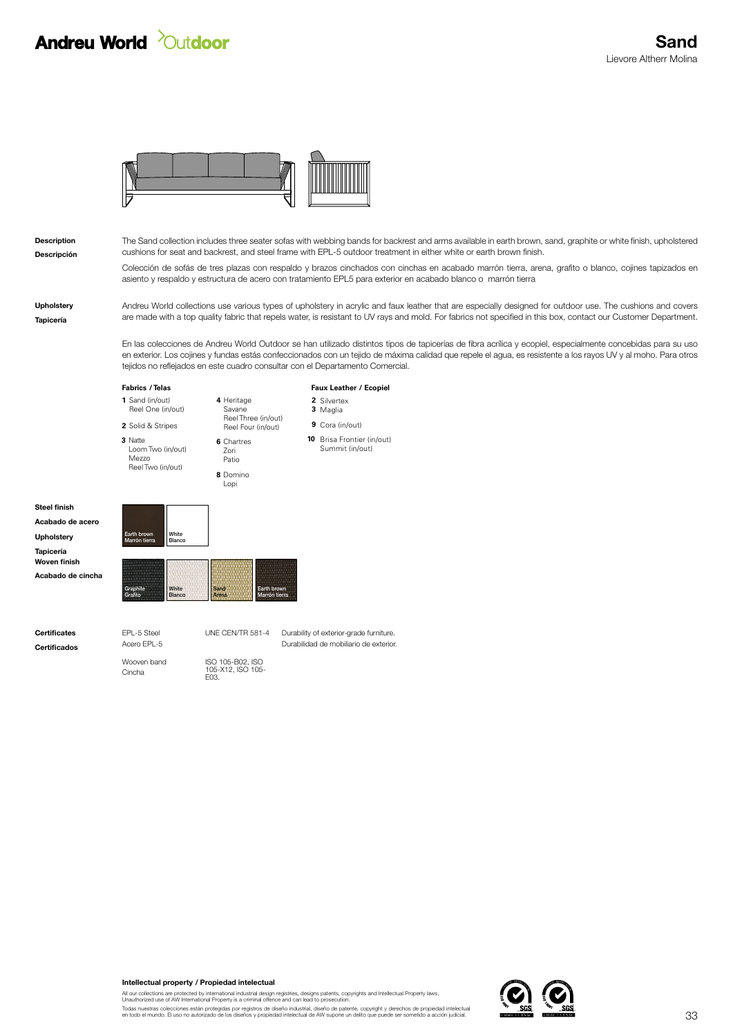## **Andreu World 20utdoor**



Descripción Description

The Sand collection includes three seater sofas with webbing bands for backrest and arms available in earth brown, sand, graphite or white finish, upholstered cushions for seat and backrest, and steel frame with EPL-5 outdoor treatment in either white or earth brown finish.

Colección de sofás de tres plazas con respaldo y brazos cinchados con cinchas en acabado marrón tierra, arena, grafito o blanco, cojines tapizados en asiento y respaldo y estructura de acero con tratamiento EPL5 para exterior en acabado blanco o marrón tierra

Tapicería Upholstery Andreu World collections use various types of upholstery in acrylic and faux leather that are especially designed for outdoor use. The cushions and covers are made with a top quality fabric that repels water, is resistant to UV rays and mold. For fabrics not specified in this box, contact our Customer Department.

En las colecciones de Andreu World Outdoor se han utilizado distintos tipos de tapicerías de fibra acrílica y ecopiel, especialmente concebidas para su uso en exterior. Los cojines y fundas estás confeccionados con un tejido de máxima calidad que repele el agua, es resistente a los rayos UV y al moho. Para otros tejidos no reflejados en este cuadro consultar con el Departamento Comercial.

**Fabrics** / Telas

**1** Sand (in/out) **2** Solid & Stripes Reel One (in/out)

**3** Natte Loom Two (in/out) Mezzo Reel Two (in/out)

**Faux Leather / Ecopiel** 

Silvertex **2** Maglia **3**

**9** Cora (in/out) Reel Three (in/out) Reel Four (in/out)

> **10** Brisa Frontier (in/out) Summit (in/out)

Acabado de acero Tapicería Acabado de cincha Upholstery Woven finish

Steel finish

Grafito Blanco **Arena** Marrón tierra

Marrón tierra **Blanco** 

Earth brown White

Cincha Wooven band ISO 105-B02, ISO 105-X12, ISO 105- E03.

Graphite White Sand Earth brown

UNE CEN/TR 581-4

**6** Chartres

Zori Patio

**4** Heritage

Savane

**8** Domino

Lopi

Certificados Acero EPL-5 Acero EPL-5 Durabilidad de mobiliario de exterior. **Certificates** EPL-5 Steel UNE CENTR 581-4 Durability of exterior-grade furniture.

Intellectual property / Propiedad intelectual

All our collections are protected by international industrial design registries, designs patents, copyrights and Intellectual Property laws.<br>Unauthorized use of AW International Property is a criminal offence and can lead

Todas nuestras colecciones están protegidas por registros de diseño industrial, diseño de patente, copyright y derechos de propiedad intelectual<br>en todo el mundo. El uso no autorizado de los diseños y propiedad intelectual

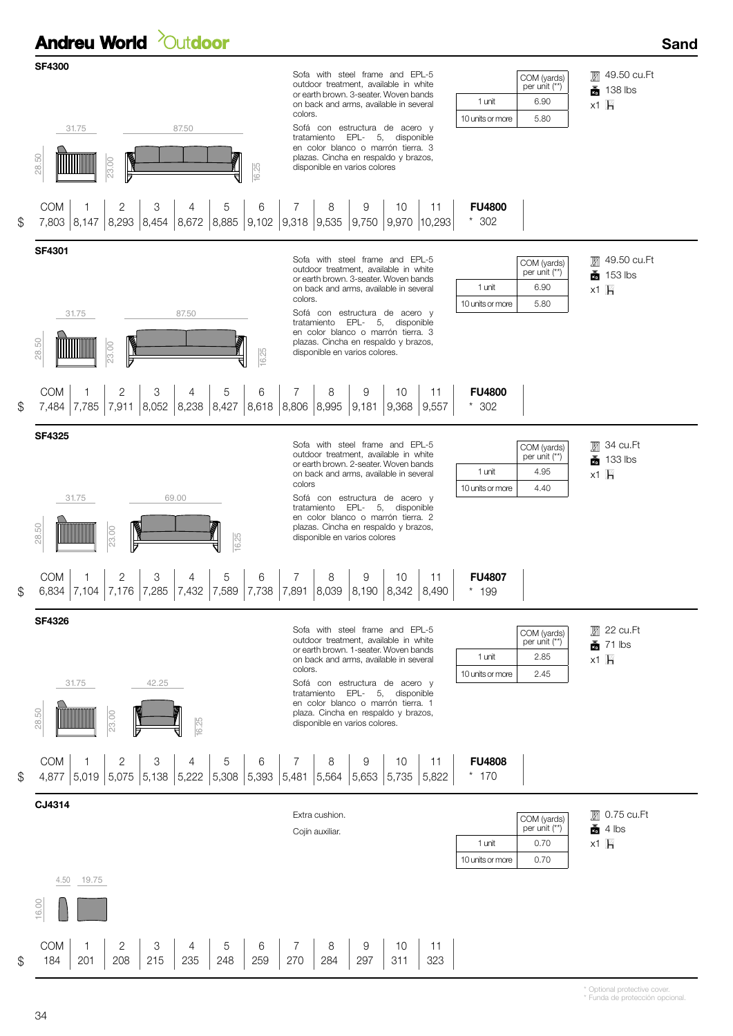